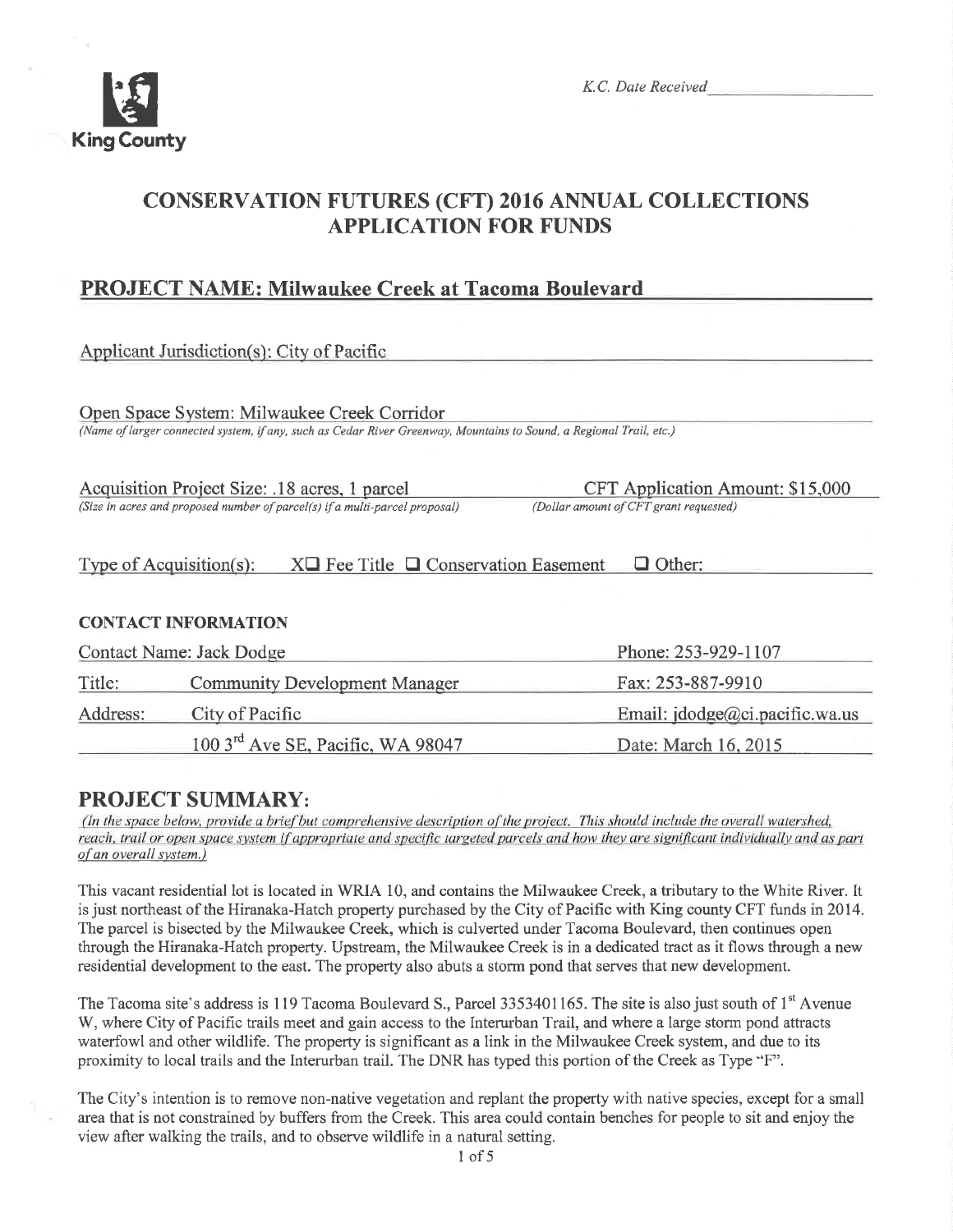

# CONSERVATION FUTURES (CFT) 2016 ANNUAL COLLECTIONS APPLICATION FOR FUNDS

## PROJECT NAME: Milwaukee Creek at Tacoma Bouleyard

|                          | Applicant Jurisdiction(s): City of Pacific                                                                                                                         |                                                                            |
|--------------------------|--------------------------------------------------------------------------------------------------------------------------------------------------------------------|----------------------------------------------------------------------------|
|                          | Open Space System: Milwaukee Creek Corridor<br>(Name of larger connected system, if any, such as Cedar River Greenway, Mountains to Sound, a Regional Trail, etc.) |                                                                            |
|                          | Acquisition Project Size: .18 acres, 1 parcel<br>(Size in acres and proposed number of parcel(s) if a multi-parcel proposal)                                       | CFT Application Amount: \$15,000<br>(Dollar amount of CFT grant requested) |
|                          | Type of Acquisition(s):<br>$X\Box$ Fee Title $\Box$ Conservation Easement                                                                                          | $\Box$ Other:                                                              |
|                          | <b>CONTACT INFORMATION</b>                                                                                                                                         |                                                                            |
| Contact Name: Jack Dodge |                                                                                                                                                                    | Phone: 253-929-1107                                                        |
| Title:                   | <b>Community Development Manager</b>                                                                                                                               | Fax: 253-887-9910                                                          |
| Address:                 | City of Pacific                                                                                                                                                    | Email: $idodge@ci.pack@ci.wa.us$                                           |

**PROJECT SUMMARY:**<br>(In the space below, provide a brief but comprehensive description of the project. This should include the overall watershed, reach, trail or open space system if appropriate and specific targeted parcels and how they are significant individually and as part of an overall system.)

100 3<sup>rd</sup> Ave SE, Pacific, WA 98047 Date: March 16, 2015

This vacant residential lot is located in WRIA 10, and contains the Milwaukee Creek, a tributary to the White River. It is just northeast of the Hiranaka-Hatch property purchased by the City of Pacihc with King county CFT funds in20l4. The parcel is bisected by the Milwaukee Creek, which is culverted under Tacoma Boulevard, then continues open through the Hiranaka-Hatch properfy. Upstream, the Milwaukee Creek is in a dedicated tract as it flows through a new residential development to the east. The properly also abuts a storm pond that serves that new development.

The Tacoma site's address is 119 Tacoma Boulevard S., Parcel 3353401165. The site is also just south of 1<sup>st</sup> Avenue W, where City of Pacific trails meet and gain access to the Interurban Trail, and where a large storm pond attracts waterfowl and other wildlife. The property is significant as a link in the Milwaukee Creek system, and due to its proximity to local trails and the Interurban trail. The DNR has typed this portion of the Creek as Type "F".

The City's intention is to remove non-native vegetation and replant the property with native species, except for a small areathat is not constrained by buffers from the Creek. This area could contain benches for people to sit and enjoy the view after walking the trails, and to observe wildlife in a natural setting.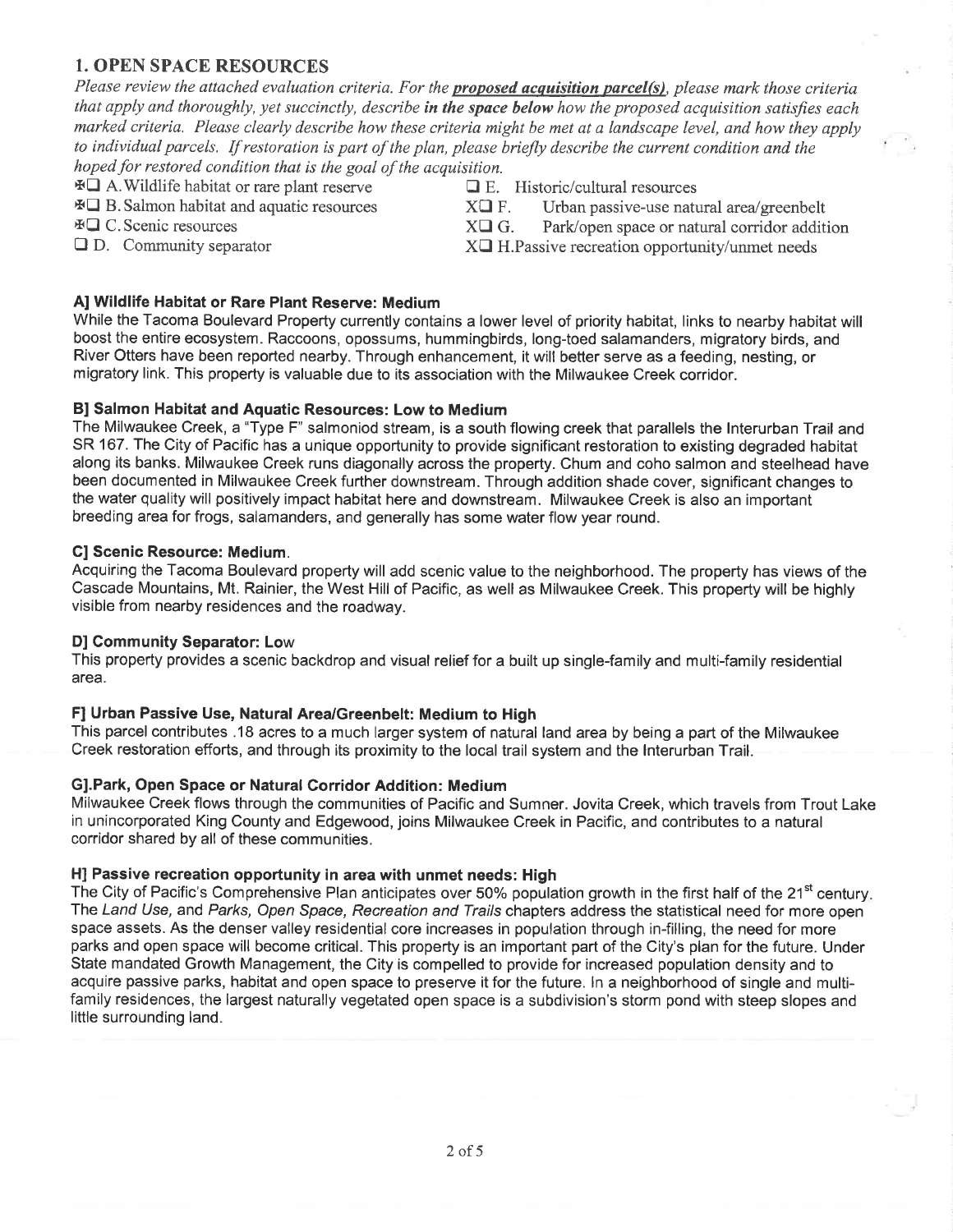#### 1. OPEN SPACE RESOURCES

Please review the attached evaluation criteria. For the **proposed acquisition parcel(s)**, please mark those criteria that apply and thoroughly, yet succinctly, describe in the space below how the proposed acquisition satisfies each marked criteria. Please clearly describe how these criteria might be met qt a landscape level, and how they apply to individual parcels. If restoration is part of the plan, please briefly describe the current condition and the hoped for restored condition that is the goal of the acquisition.

 $\overline{A}$  A. Wildlife habitat or rare plant reserve  $\overline{A}$  E. Historic/cultural resources  $\overline{A}$  B. Salmon habitat and aquatic resources  $\overline{X}$  F. Urban passive-use natural area/greenbelt  $\overline{A}$  C. Scenic resources

- $\overline{A} \square C$ . Scenic resources  $X\square G$ . Park/open space or natural corridor addition  $\square D$ . Community separator  $X\square H$ . Passive recreation opportunity/unmet needs
	- $X\Box$  H. Passive recreation opportunity/unmet needs

#### Al Wildlife Habitat or Rare Plant Reserve: Medium

While the Tacoma Boulevard Property currently contains a lower level of priority habitat, links to nearby habitat will boost the entire ecosystem. Raccoons, opossums, hummingbirds, long-toed salamanders, migratory birds, and River Otters have been reported nearby. Through enhancement, it will better serve as a feeding, nesting, or migratory link. This property is valuable due to its association with the Milwaukee Creek corridor.

#### Bl Salmon Habitat and Aquatic Resources: Low to Medium

The Milwaukee Creek, a "Type F" salmoniod stream, is a south flowing creek that parallels the lnterurban Trail and SR 167. The City of Pacifíc has a unique opportunity to provide significant restoration to existing degraded habitat along its banks. Milwaukee Creek runs diagonally across the property. Chum and coho salmon and steelhead have been documented in Milwaukee Creek further downstream. Through addition shade cover, significant changes to the water quality will positively impact habitat here and downstream. Milwaukee Creek is also an important breeding area for frogs, salamanders, and generally has some water flow year round.

#### Gl Scenic Resource: Medium.

Acquiring the Tacoma Boulevard property will add scenic value to the neighborhood. The property has views of the Cascade Mountains, Mt. Rainier, the West Hill of Pacific, as well as Milwaukee Creek. This property will be highly visible from nearby resídences and the roadway.

#### D] Community Separator: Low

This property provides a scenic backdrop and visual relief for a built up single-family and multi-family residential area.

#### F] Urban Passive Use, Natural Area/Greenbelt: Medium to High

This parcel contributes .18 acres to a much larger system of natural land area by being a part of the Milwaukee Creek restoration efforts, and through its proximity to the local trail system and the lnterurban Trail.

#### Gl.Park, Open Space or Natural Gorridor Addition: Medium

Milwaukee Creek flows through the communities of Pacific and Sumner. Jovita Creek, which travels from Trout Lake in unincorporated King County and Edgewood, joins Milwaukee Creek in Pacific, and contributes to a natural corridor shared by all of these communities.

#### H] Passive recreation opportunity in area with unmet needs: High

The City of Pacific's Comprehensive Plan anticipates over 50% population growth in the first half of the 21<sup>st</sup> century. The Land Use, and Parks, Open Space, Recreation and Trails chapters address the statistical need for more open space assets. As the denser valley residential core increases in population through in-filling, the need for more parks and open space will become critical. This property is an important part of the City's plan for the future. Under State mandated Growth Management, the City is compelled to provide for increased population density and to acquire passive parks, habitat and open space to preserve it for the future. ln a neighborhood of single and multifamily residences, the largest naturally vegetated open space is a subdivision's storm pond with steep slopes and little surrounding land.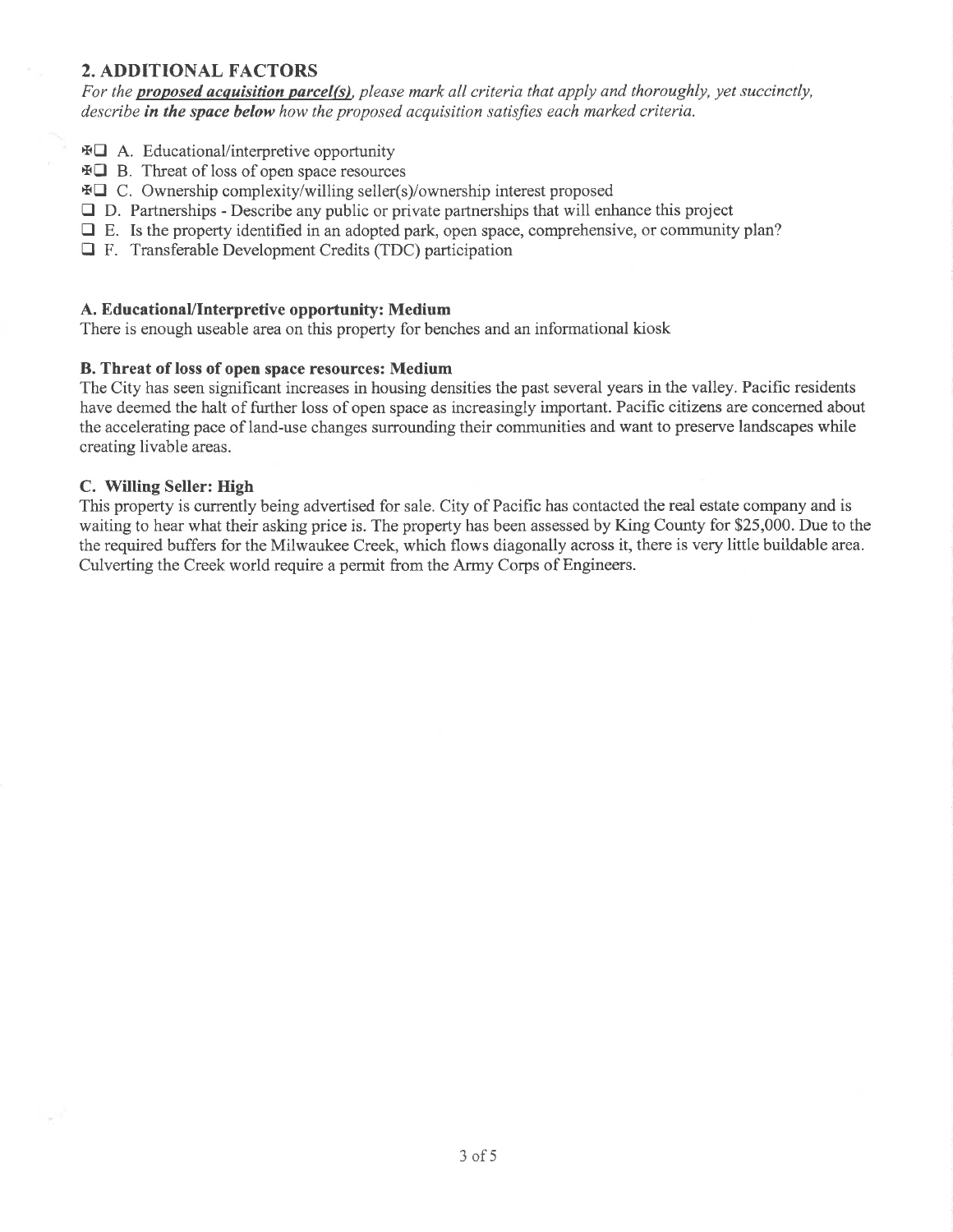#### 2. ADDITIONAL FACTORS

For the **proposed acquisition parcel(s)**, please mark all criteria that apply and thoroughly, yet succinctly, describe in the space below how the proposed acquisition satisfies each marked criteria.

- $\text{A. Educational/interpective opportunity}$
- xO B. Threat of loss of open space resources
- $\text{FQ}$  C. Ownership complexity/willing seller(s)/ownership interest proposed
- $\Box$  D. Partnerships Describe any public or private partnerships that will enhance this project
- $\Box$  E. Is the property identified in an adopted park, open space, comprehensive, or community plan?
- E F. Transferable Development Credits (TDC) participation

#### A. EducationaVlnterpretive opportunity: Medium

There is enough useable area on this property for benches and an informational kiosk

#### B. Threat of loss of open space resources: Medium

The City has seen significant increases in housing densities the past several years in the valley. Pacific residents have deemed the halt of further loss of open space as increasingly important. Pacific citizens are concemed about the accelerating pace of land-use changes surrounding their communities and want to preserve landscapes while creating livable areas.

#### C. Willing Seller: High

This property is currently being advertised for sale. City of Pacific has contacted the real estate company and is waiting to hear what their asking price is. The property has been assessed by King County for \$25,000. Due to the the required buffers for the Milwaukee Creek, which flows diagonally across it, there is very little buildable area. Culverting the Creek world require a permit from the Army Corps of Engineers.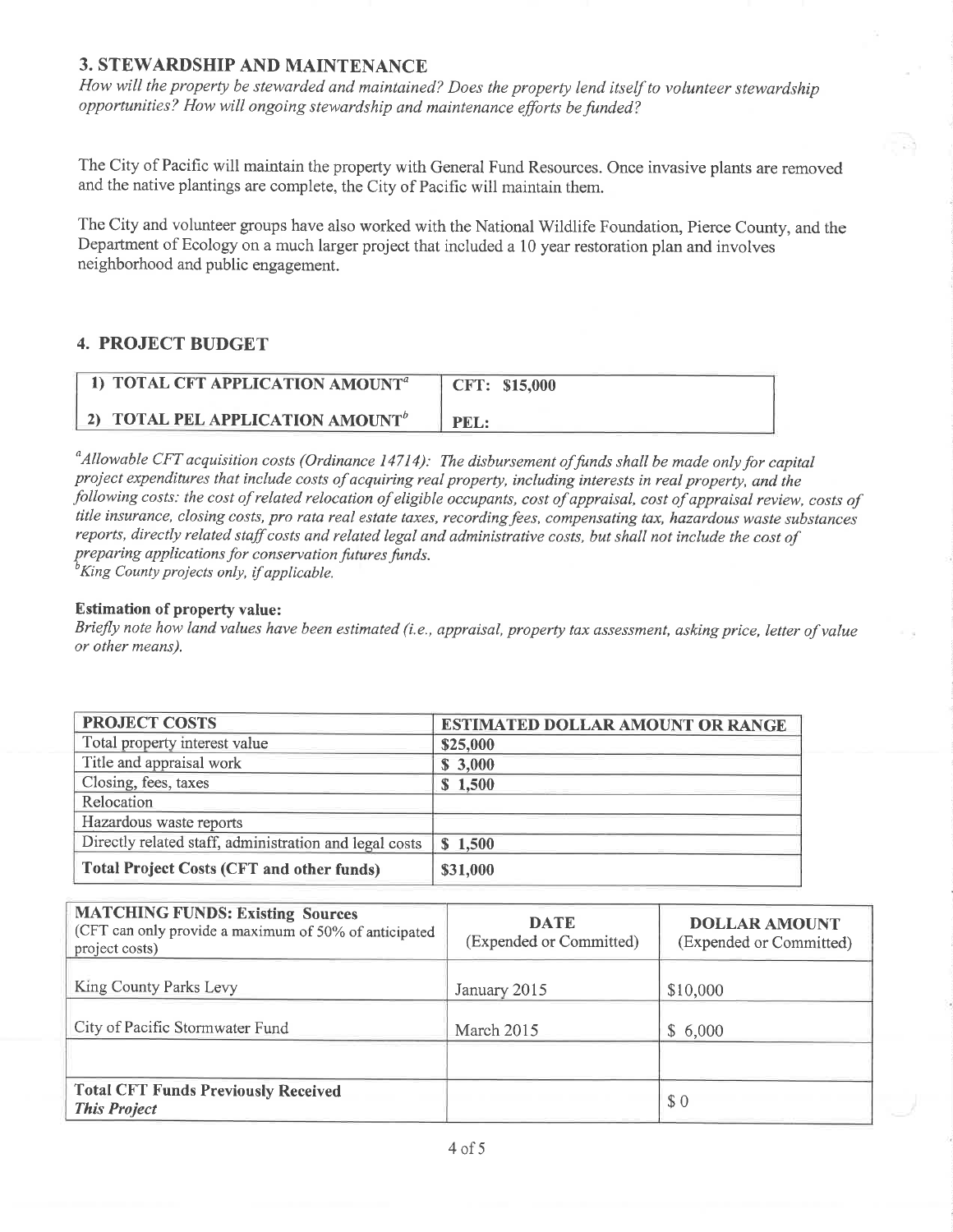#### **3. STEWARDSHIP AND MAINTENANCE**

How will the property be stewarded and maintained? Does the property lend itself to volunteer stewardship opportunities? How will ongoing stewardship and maintenance efforts be funded?

The City of Pacific will maintain the property with General Fund Resources. Once invasive plants are removed and the native plantings are complete, the City of Pacific will maintain them.

The City and volunteer groups have also worked with the National Wildlife Foundation, Pierce County, and the Department of Ecology on a much larger project that included a 10 year restoration plan and involves neighborhood and public engagement.

#### **4. PROJECT BUDGET**

| 1) TOTAL CFT APPLICATION AMOUNT <sup>a</sup>        | CFT: \$15,000 |
|-----------------------------------------------------|---------------|
| <b>2) TOTAL PEL APPLICATION AMOUNT</b> <sup>b</sup> | PEL:          |

 $^a$ Allowable CFT acquisition costs (Ordinance 14714): The disbursement of funds shall be made only for capital project expenditures that include costs of acquiring real property, including interests in real property, and the following costs: the cost of related relocation of eligible occupants, cost of appraisal, cost of appraisal review, costs of title insurance, closing costs, pro rata real estate taxes, recording fees, compensating tax, hazardous waste substances reports, directly related staff costs and related legal and administrative costs, but shall not include the cost of preparing applications for conservation futures funds.

<sup>o</sup>King County projects only, if applicable.

#### **Estimation of property value:**

Briefly note how land values have been estimated (i.e., appraisal, property tax assessment, asking price, letter of value or other means).

| <b>PROJECT COSTS</b>                                   | <b>ESTIMATED DOLLAR AMOUNT OR RANGE</b> |
|--------------------------------------------------------|-----------------------------------------|
| Total property interest value                          | \$25,000                                |
| Title and appraisal work                               | \$3,000                                 |
| Closing, fees, taxes                                   | \$1,500                                 |
| Relocation                                             |                                         |
| Hazardous waste reports                                |                                         |
| Directly related staff, administration and legal costs | \$1,500                                 |
| <b>Total Project Costs (CFT and other funds)</b>       | \$31,000                                |

| <b>MATCHING FUNDS: Existing Sources</b><br>(CFT can only provide a maximum of 50% of anticipated<br>project costs) | <b>DATE</b><br>(Expended or Committed) | <b>DOLLAR AMOUNT</b><br>(Expended or Committed) |
|--------------------------------------------------------------------------------------------------------------------|----------------------------------------|-------------------------------------------------|
| King County Parks Levy                                                                                             | January 2015                           | \$10,000                                        |
| City of Pacific Stormwater Fund                                                                                    | March 2015                             | \$6,000                                         |
|                                                                                                                    |                                        |                                                 |
| <b>Total CFT Funds Previously Received</b><br><b>This Project</b>                                                  |                                        | \$0                                             |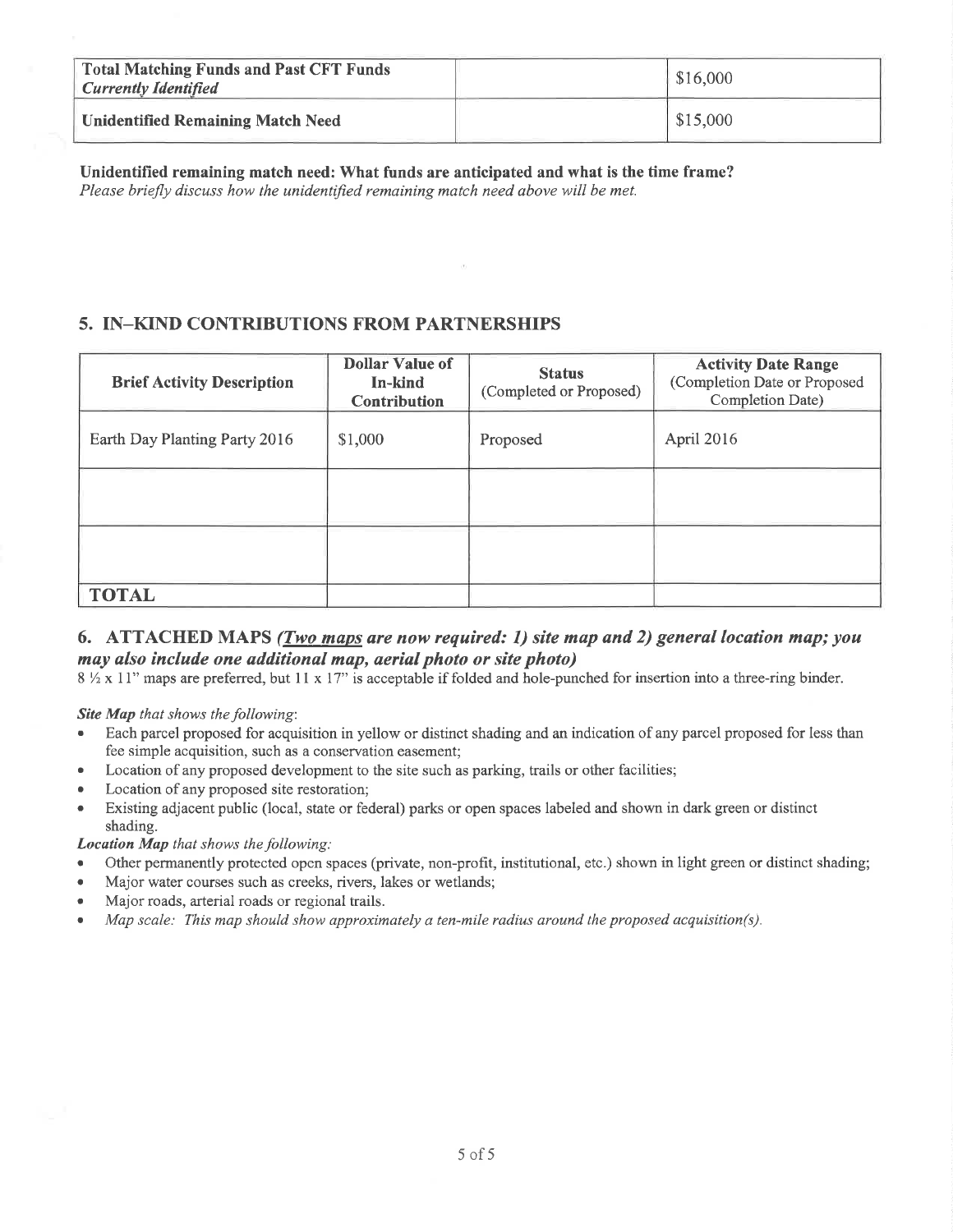| <b>Total Matching Funds and Past CFT Funds</b><br><b>Currently Identified</b> | \$16,000 |
|-------------------------------------------------------------------------------|----------|
| <b>Unidentified Remaining Match Need</b>                                      | \$15,000 |

Unidentified remaining match need: What funds are anticipated and what is the time frame? Please briefly discuss how the unidentified remaining match need above will be met.

### 5. IN-KIND CONTRIBUTIONS FROM PARTNERSHIPS

| <b>Brief Activity Description</b> | <b>Dollar Value of</b><br>In-kind<br><b>Contribution</b> | <b>Status</b><br>(Completed or Proposed) | <b>Activity Date Range</b><br>(Completion Date or Proposed<br>Completion Date) |
|-----------------------------------|----------------------------------------------------------|------------------------------------------|--------------------------------------------------------------------------------|
| Earth Day Planting Party 2016     | \$1,000                                                  | Proposed                                 | April 2016                                                                     |
|                                   |                                                          |                                          |                                                                                |
|                                   |                                                          |                                          |                                                                                |
| <b>TOTAL</b>                      |                                                          |                                          |                                                                                |

#### 6. ATTACHED MAPS (Two maps are now required: 1) site map and 2) general location map; you may also include one additional map, aerial photo or site photo)

8 1/2 x 11" maps are preferred, but 11 x 17" is acceptable if folded and hole-punched for insertion into a three-ring binder.

**Site Map** that shows the following:

- Each parcel proposed for acquisition in yellow or distinct shading and an indication of any parcel proposed for less than fee simple acquisition, such as a conservation easement;
- Location of any proposed development to the site such as parking, trails or other facilities;
- Location of any proposed site restoration;
- Existing adjacent public (local, state or federal) parks or open spaces labeled and shown in dark green or distinct shading.

**Location Map** that shows the following:

- Other permanently protected open spaces (private, non-profit, institutional, etc.) shown in light green or distinct shading;
- Major water courses such as creeks, rivers, lakes or wetlands;
- Major roads, arterial roads or regional trails.
- Map scale: This map should show approximately a ten-mile radius around the proposed acquisition(s).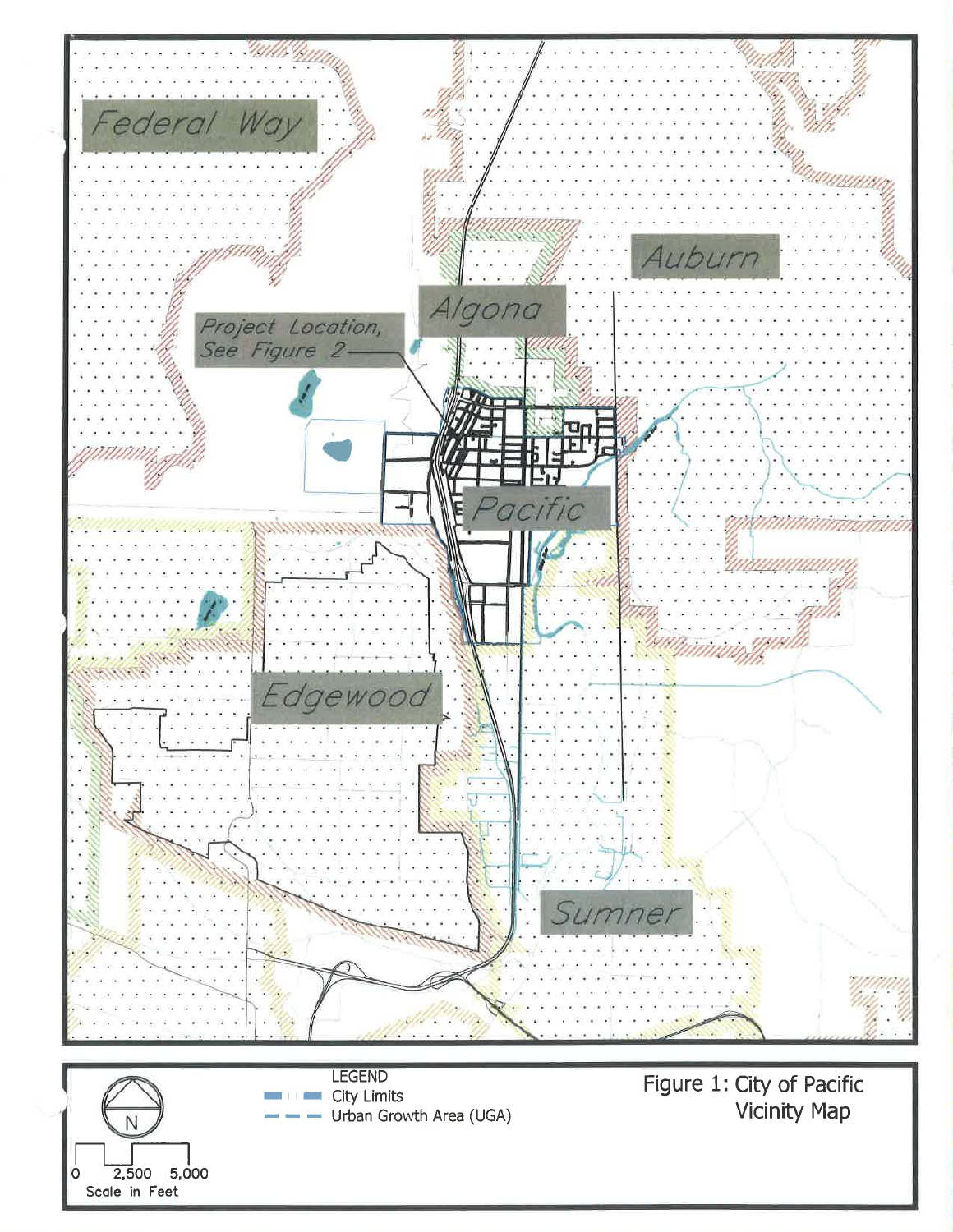

Ν **2,500 5,000**<br>Scale in Feet **2,500** 

LEGEND **City Limits** Urban Growth Area (UGA)

Figure 1: City of Pacific Vicinity Map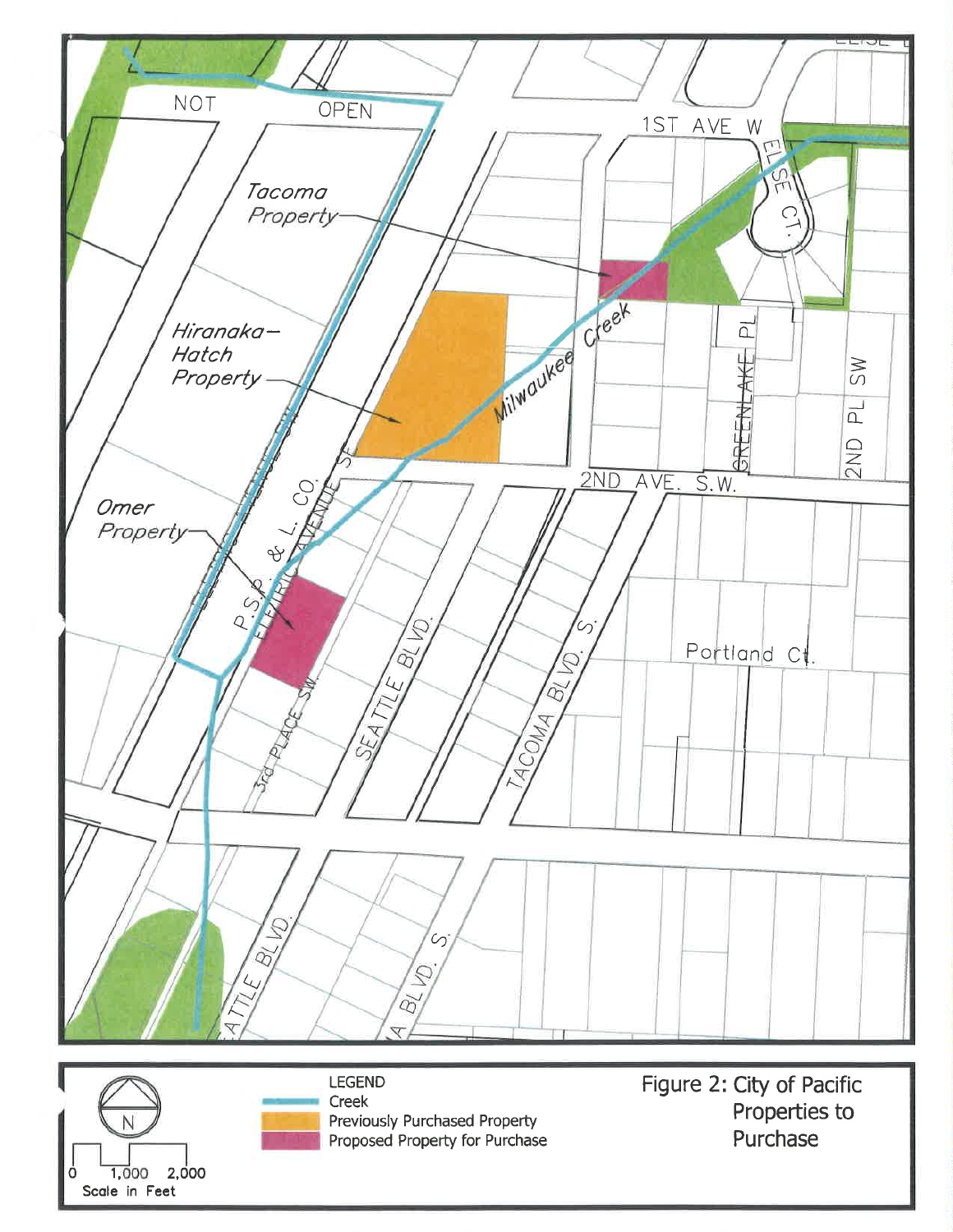





**LEGEND** Creek Previously Purchased Property Proposed Property for Purchase Figure 2: City of Pacific Properties to Purchase